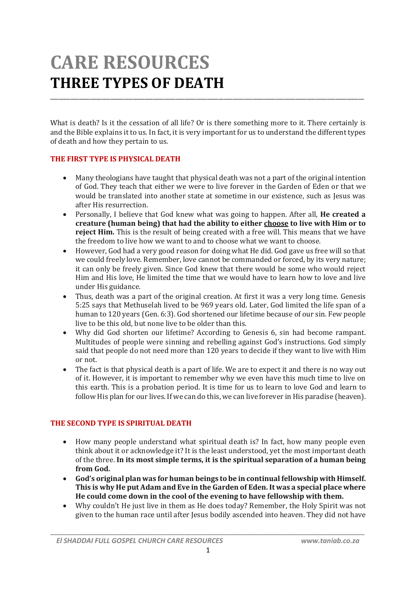# **CARE RESOURCES THREE TYPES OF DEATH**

What is death? Is it the cessation of all life? Or is there something more to it. There certainly is and the Bible explains it to us. In fact, it is very important for us to understand the different types of death and how they pertain to us.

\_\_\_\_\_\_\_\_\_\_\_\_\_\_\_\_\_\_\_\_\_\_\_\_\_\_\_\_\_\_\_\_\_\_\_\_\_\_\_\_\_\_\_\_\_\_\_\_\_\_\_\_\_\_\_\_\_\_\_\_\_\_\_\_\_\_\_\_\_\_\_\_\_\_\_\_\_\_\_\_\_\_\_\_\_\_\_\_\_\_\_\_\_\_\_\_\_\_\_\_\_\_\_\_\_\_\_\_\_\_

### **THE FIRST TYPE IS PHYSICAL DEATH**

- Many theologians have taught that physical death was not a part of the original intention of God. They teach that either we were to live forever in the Garden of Eden or that we would be translated into another state at sometime in our existence, such as Jesus was after His resurrection.
- Personally, I believe that God knew what was going to happen. After all, **He created a creature (human being) that had the ability to either choose to live with Him or to reject Him.** This is the result of being created with a free will. This means that we have the freedom to live how we want to and to choose what we want to choose.
- However, God had a very good reason for doing what He did. God gave us free will so that we could freely love. Remember, love cannot be commanded or forced, by its very nature; it can only be freely given. Since God knew that there would be some who would reject Him and His love, He limited the time that we would have to learn how to love and live under His guidance.
- Thus, death was a part of the original creation. At first it was a very long time. Genesis 5:25 says that Methuselah lived to be 969 years old. Later, God limited the life span of a human to 120 years (Gen. 6:3). God shortened our lifetime because of our sin. Few people live to be this old, but none live to be older than this.
- Why did God shorten our lifetime? According to Genesis 6, sin had become rampant. Multitudes of people were sinning and rebelling against God's instructions. God simply said that people do not need more than 120 years to decide if they want to live with Him or not.
- The fact is that physical death is a part of life. We are to expect it and there is no way out of it. However, it is important to remember why we even have this much time to live on this earth. This is a probation period. It is time for us to learn to love God and learn to follow His plan for our lives. If we can do this, we can live forever in His paradise (heaven).

#### **THE SECOND TYPE IS SPIRITUAL DEATH**

- How many people understand what spiritual death is? In fact, how many people even think about it or acknowledge it? It is the least understood, yet the most important death of the three. **In its most simple terms, it is the spiritual separation of a human being from God.**
- **God's original plan was for human beings to be in continual fellowship with Himself. This is why He put Adam and Eve in the Garden of Eden. It was a special place where He could come down in the cool of the evening to have fellowship with them.**
- Why couldn't He just live in them as He does today? Remember, the Holy Spirit was not given to the human race until after Jesus bodily ascended into heaven. They did not have

*\_\_\_\_\_\_\_\_\_\_\_\_\_\_\_\_\_\_\_\_\_\_\_\_\_\_\_\_\_\_\_\_\_\_\_\_\_\_\_\_\_\_\_\_\_\_\_\_\_\_\_\_\_\_\_\_\_\_\_\_\_\_\_\_\_\_\_\_\_\_\_\_\_\_\_\_\_\_\_\_\_\_*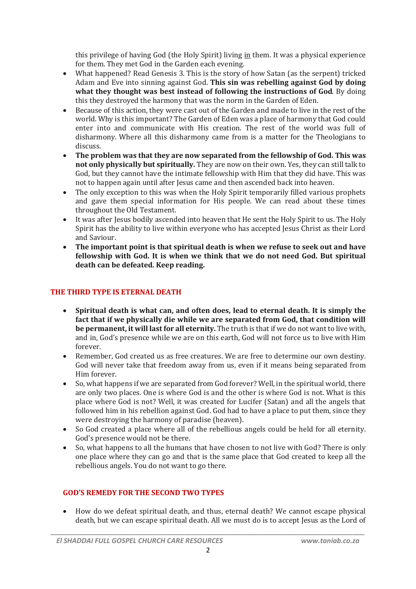this privilege of having God (the Holy Spirit) living in them. It was a physical experience for them. They met God in the Garden each evening.

- What happened? Read Genesis 3. This is the story of how Satan (as the serpent) tricked Adam and Eve into sinning against God. **This sin was rebelling against God by doing what they thought was best instead of following the instructions of God**. By doing this they destroyed the harmony that was the norm in the Garden of Eden.
- Because of this action, they were cast out of the Garden and made to live in the rest of the world. Why is this important? The Garden of Eden was a place of harmony that God could enter into and communicate with His creation. The rest of the world was full of disharmony. Where all this disharmony came from is a matter for the Theologians to discuss.
- **The problem was that they are now separated from the fellowship of God. This was not only physically but spiritually.** They are now on their own. Yes, they can still talk to God, but they cannot have the intimate fellowship with Him that they did have. This was not to happen again until after Jesus came and then ascended back into heaven.
- The only exception to this was when the Holy Spirit temporarily filled various prophets and gave them special information for His people. We can read about these times throughout the Old Testament.
- It was after Jesus bodily ascended into heaven that He sent the Holy Spirit to us. The Holy Spirit has the ability to live within everyone who has accepted Jesus Christ as their Lord and Saviour.
- **The important point is that spiritual death is when we refuse to seek out and have fellowship with God. It is when we think that we do not need God. But spiritual death can be defeated. Keep reading.**

## **THE THIRD TYPE IS ETERNAL DEATH**

- **Spiritual death is what can, and often does, lead to eternal death. It is simply the fact that if we physically die while we are separated from God, that condition will be permanent, it will last for all eternity.** The truth is that if we do not want to live with, and in, God's presence while we are on this earth, God will not force us to live with Him forever.
- Remember, God created us as free creatures. We are free to determine our own destiny. God will never take that freedom away from us, even if it means being separated from Him forever.
- So, what happens if we are separated from God forever? Well, in the spiritual world, there are only two places. One is where God is and the other is where God is not. What is this place where God is not? Well, it was created for Lucifer (Satan) and all the angels that followed him in his rebellion against God. God had to have a place to put them, since they were destroying the harmony of paradise (heaven).
- So God created a place where all of the rebellious angels could be held for all eternity. God's presence would not be there.
- So, what happens to all the humans that have chosen to not live with God? There is only one place where they can go and that is the same place that God created to keep all the rebellious angels. You do not want to go there.

## **GOD'S REMEDY FOR THE SECOND TWO TYPES**

 How do we defeat spiritual death, and thus, eternal death? We cannot escape physical death, but we can escape spiritual death. All we must do is to accept Jesus as the Lord of

*\_\_\_\_\_\_\_\_\_\_\_\_\_\_\_\_\_\_\_\_\_\_\_\_\_\_\_\_\_\_\_\_\_\_\_\_\_\_\_\_\_\_\_\_\_\_\_\_\_\_\_\_\_\_\_\_\_\_\_\_\_\_\_\_\_\_\_\_\_\_\_\_\_\_\_\_\_\_\_\_\_\_*